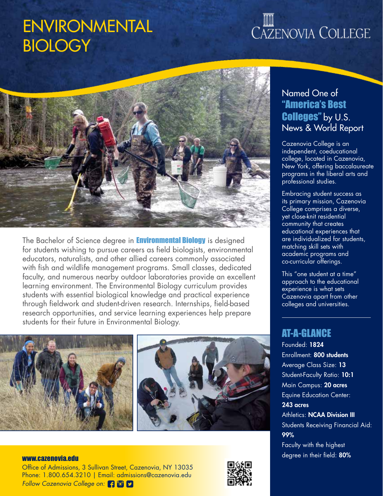### ENVIRONMENTAL **BIOLOGY**

# CAZENOVIA COLLEGE



The Bachelor of Science degree in **Environmental Biology** is designed for students wishing to pursue careers as field biologists, environmental educators, naturalists, and other allied careers commonly associated with fish and wildlife management programs. Small classes, dedicated faculty, and numerous nearby outdoor laboratories provide an excellent learning environment. The Environmental Biology curriculum provides students with essential biological knowledge and practical experience through fieldwork and student-driven research. Internships, field-based research opportunities, and service learning experiences help prepare students for their future in Environmental Biology.



### Named One of "America's Best Colleges" by U.S. News & World Report

Cazenovia College is an independent, coeducational college, located in Cazenovia, New York, offering baccalaureate programs in the liberal arts and professional studies.

Embracing student success as its primary mission, Cazenovia College comprises a diverse, yet close-knit residential community that creates educational experiences that are individualized for students, matching skill sets with academic programs and co-curricular offerings.

This "one student at a time" approach to the educational experience is what sets Cazenovia apart from other colleges and universities.

### AT-A-GLANCE

Founded: 1824 Enrollment: 800 students Average Class Size: 13 Student-Faculty Ratio: 10:1 Main Campus: 20 acres Equine Education Center: 243 acres **Athletics: NCAA Division III** Students Receiving Financial Aid: 99% Faculty with the highest www.cazenovia.edu www.cazenovia.edu www.cazenovia.edu www.cazenovia.edu www.cazenovia.edu www.cazenovia.edu ww

Office of Admissions, 3 Sullivan Street, Cazenovia, NY 13035 Phone: 1.800.654.3210 | Email: admissions@cazenovia.edu *Follow Cazenovia College on:*